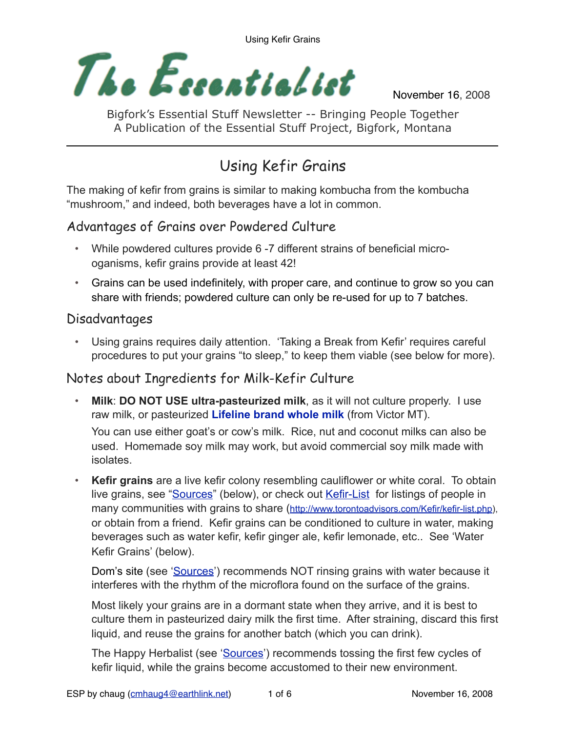

November 16, 2008

Bigfork's Essential Stuff Newsletter -- Bringing People Together A Publication of the Essential Stuff Project, Bigfork, Montana

# Using Kefir Grains

The making of kefir from grains is similar to making kombucha from the kombucha "mushroom," and indeed, both beverages have a lot in common.

### Advantages of Grains over Powdered Culture

- While powdered cultures provide 6 -7 different strains of beneficial microoganisms, kefir grains provide at least 42!
- Grains can be used indefinitely, with proper care, and continue to grow so you can share with friends; powdered culture can only be re-used for up to 7 batches.

### Disadvantages

• Using grains requires daily attention. 'Taking a Break from Kefir' requires careful procedures to put your grains "to sleep," to keep them viable (see below for more).

### Notes about Ingredients for Milk-Kefir Culture

• **Milk**: **DO NOT USE ultra-pasteurized milk**, as it will not culture properly. I use raw milk, or pasteurized **Lifeline brand whole milk** (from Victor MT).

You can use either goat's or cow's milk. Rice, nut and coconut milks can also be used. Homemade soy milk may work, but avoid commercial soy milk made with isolates.

**Kefir grains** are a live kefir colony resembling cauliflower or white coral. To obtain live grains, see ["Sources](#page-5-0)" (below), or check out [Kefir-List](http://www.torontoadvisors.com/Kefir/kefir-list.php) for listings of people in many communities with grains to share ([http://www.torontoadvisors.com/Kefir/kefir-list.php\)](http://www.torontoadvisors.com/Kefir/kefir-list.php), or obtain from a friend. Kefir grains can be conditioned to culture in water, making beverages such as water kefir, kefir ginger ale, kefir lemonade, etc.. See 'Water Kefir Grains' (below).

Dom's site (see ['Sources](#page-5-0)') recommends NOT rinsing grains with water because it interferes with the rhythm of the microflora found on the surface of the grains.

Most likely your grains are in a dormant state when they arrive, and it is best to culture them in pasteurized dairy milk the first time. After straining, discard this first liquid, and reuse the grains for another batch (which you can drink).

The Happy Herbalist (see ['Sources](#page-5-0)') recommends tossing the first few cycles of kefir liquid, while the grains become accustomed to their new environment.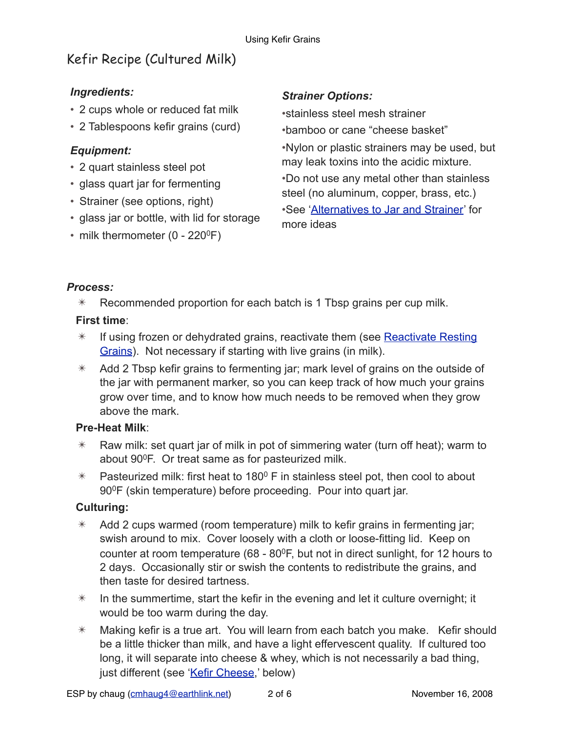# Kefir Recipe (Cultured Milk)

#### *Ingredients:*

- 2 cups whole or reduced fat milk
- 2 Tablespoons kefir grains (curd)

#### *Equipment:*

- 2 quart stainless steel pot
- glass quart jar for fermenting
- Strainer (see options, right)
- glass jar or bottle, with lid for storage
- milk thermometer  $(0 220^{\circ}F)$

#### *Strainer Options:*

•stainless steel mesh strainer •bamboo or cane "cheese basket"

•Nylon or plastic strainers may be used, but may leak toxins into the acidic mixture. •Do not use any metal other than stainless steel (no aluminum, copper, brass, etc.) •See '[Alternatives to Jar and Strainer'](#page-2-0) for more ideas

#### *Process:*

 $*$  Recommended proportion for each batch is 1 Tbsp grains per cup milk.

#### **First time**:

- $*$  If using frozen or dehydrated grains, reactivate them (see Reactivate Resting [Grains](#page-3-0)). Not necessary if starting with live grains (in milk).
- $*$  Add 2 Tbsp kefir grains to fermenting jar; mark level of grains on the outside of the jar with permanent marker, so you can keep track of how much your grains grow over time, and to know how much needs to be removed when they grow above the mark.

#### **Pre-Heat Milk**:

- $*$  Raw milk: set quart jar of milk in pot of simmering water (turn off heat); warm to about 900F. Or treat same as for pasteurized milk.
- $*$  Pasteurized milk: first heat to 180<sup>0</sup> F in stainless steel pot, then cool to about 90<sup>0</sup>F (skin temperature) before proceeding. Pour into quart jar.

#### **Culturing:**

- $*$  Add 2 cups warmed (room temperature) milk to kefir grains in fermenting jar; swish around to mix. Cover loosely with a cloth or loose-fitting lid. Keep on counter at room temperature (68 -  $80^{\circ}$ F, but not in direct sunlight, for 12 hours to 2 days. Occasionally stir or swish the contents to redistribute the grains, and then taste for desired tartness.
- $*$  In the summertime, start the kefir in the evening and let it culture overnight; it would be too warm during the day.
- $*$  Making kefir is a true art. You will learn from each batch you make. Kefir should be a little thicker than milk, and have a light effervescent quality. If cultured too long, it will separate into cheese & whey, which is not necessarily a bad thing, just different (see '[Kefir Cheese](#page-4-0),' below)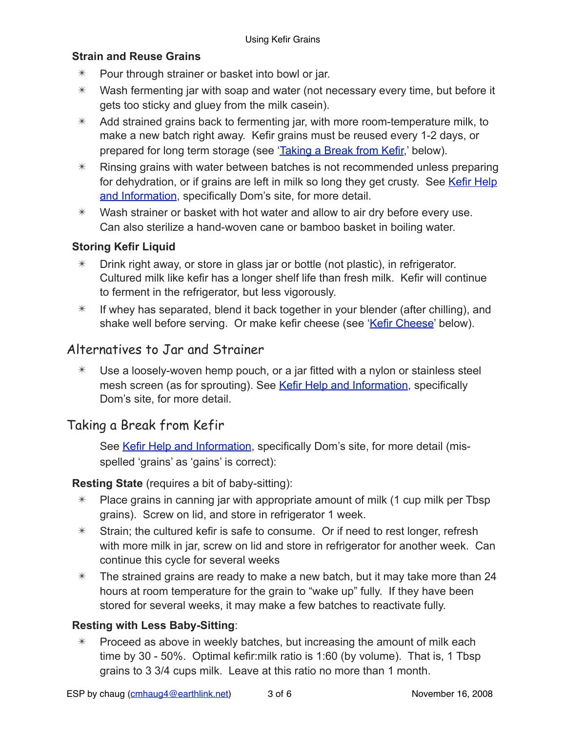#### **Strain and Reuse Grains**

- ✴ Pour through strainer or basket into bowl or jar.
- $*$  Wash fermenting jar with soap and water (not necessary every time, but before it gets too sticky and gluey from the milk casein).
- $*$  Add strained grains back to fermenting jar, with more room-temperature milk, to make a new batch right away. Kefir grains must be reused every 1-2 days, or prepared for long term storage (see '[Taking a Break from Kefir,](#page-2-1)' below).
- $*$  Rinsing grains with water between batches is not recommended unless preparing for dehydration, or if grains are left in milk so long they get crusty. See Kefir Help [and Information](#page-5-1), specifically Dom's site, for more detail.
- $*$  Wash strainer or basket with hot water and allow to air dry before every use. Can also sterilize a hand-woven cane or bamboo basket in boiling water.

#### **Storing Kefir Liquid**

- $*$  Drink right away, or store in glass jar or bottle (not plastic), in refrigerator. Cultured milk like kefir has a longer shelf life than fresh milk. Kefir will continue to ferment in the refrigerator, but less vigorously.
- $*$  If whey has separated, blend it back together in your blender (after chilling), and shake well before serving. Or make kefir cheese (see ['Kefir Cheese](#page-4-0)' below).

### <span id="page-2-0"></span>Alternatives to Jar and Strainer

 $*$  Use a loosely-woven hemp pouch, or a jar fitted with a nylon or stainless steel mesh screen (as for sprouting). See [Kefir Help and Information](#page-5-1), specifically Dom's site, for more detail.

### <span id="page-2-1"></span>Taking a Break from Kefir

See [Kefir Help and Information](#page-5-1), specifically Dom's site, for more detail (misspelled 'grains' as 'gains' is correct):

#### **Resting State** (requires a bit of baby-sitting):

- $*$  Place grains in canning jar with appropriate amount of milk (1 cup milk per Tbsp) grains). Screw on lid, and store in refrigerator 1 week.
- $*$  Strain; the cultured kefir is safe to consume. Or if need to rest longer, refresh with more milk in jar, screw on lid and store in refrigerator for another week. Can continue this cycle for several weeks
- $*$  The strained grains are ready to make a new batch, but it may take more than 24 hours at room temperature for the grain to "wake up" fully. If they have been stored for several weeks, it may make a few batches to reactivate fully.

#### **Resting with Less Baby-Sitting**:

 $*$  Proceed as above in weekly batches, but increasing the amount of milk each time by 30 - 50%. Optimal kefir:milk ratio is 1:60 (by volume). That is, 1 Tbsp grains to 3 3/4 cups milk. Leave at this ratio no more than 1 month.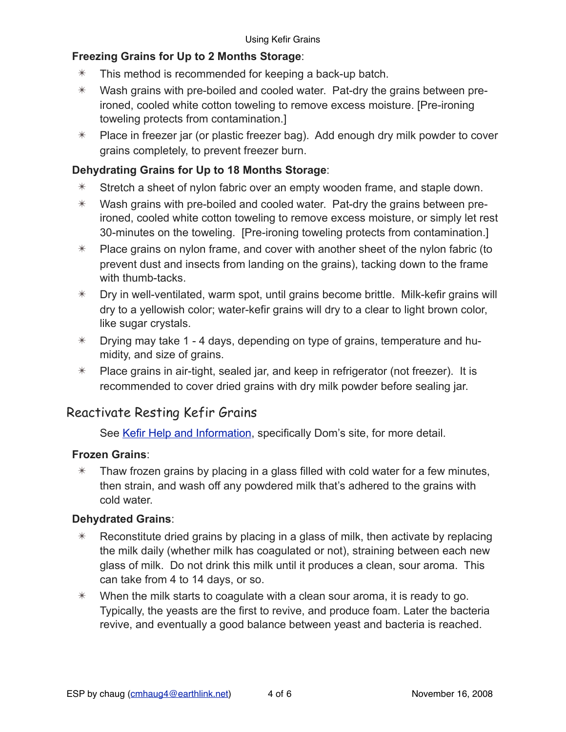#### **Freezing Grains for Up to 2 Months Storage**:

- $*$  This method is recommended for keeping a back-up batch.
- $*$  Wash grains with pre-boiled and cooled water. Pat-dry the grains between preironed, cooled white cotton toweling to remove excess moisture. [Pre-ironing toweling protects from contamination.]
- $*$  Place in freezer jar (or plastic freezer bag). Add enough dry milk powder to cover grains completely, to prevent freezer burn.

#### **Dehydrating Grains for Up to 18 Months Storage**:

- $*$  Stretch a sheet of nylon fabric over an empty wooden frame, and staple down.
- $*$  Wash grains with pre-boiled and cooled water. Pat-dry the grains between preironed, cooled white cotton toweling to remove excess moisture, or simply let rest 30-minutes on the toweling. [Pre-ironing toweling protects from contamination.]
- $*$  Place grains on nylon frame, and cover with another sheet of the nylon fabric (to prevent dust and insects from landing on the grains), tacking down to the frame with thumb-tacks.
- $*$  Dry in well-ventilated, warm spot, until grains become brittle. Milk-kefir grains will dry to a yellowish color; water-kefir grains will dry to a clear to light brown color, like sugar crystals.
- $*$  Drying may take 1 4 days, depending on type of grains, temperature and humidity, and size of grains.
- $*$  Place grains in air-tight, sealed jar, and keep in refrigerator (not freezer). It is recommended to cover dried grains with dry milk powder before sealing jar.

### <span id="page-3-0"></span>Reactivate Resting Kefir Grains

See [Kefir Help and Information](#page-5-1), specifically Dom's site, for more detail.

#### **Frozen Grains**:

 $*$  Thaw frozen grains by placing in a glass filled with cold water for a few minutes, then strain, and wash off any powdered milk that's adhered to the grains with cold water.

#### **Dehydrated Grains**:

- $*$  Reconstitute dried grains by placing in a glass of milk, then activate by replacing the milk daily (whether milk has coagulated or not), straining between each new glass of milk. Do not drink this milk until it produces a clean, sour aroma. This can take from 4 to 14 days, or so.
- $*$  When the milk starts to coagulate with a clean sour aroma, it is ready to go. Typically, the yeasts are the first to revive, and produce foam. Later the bacteria revive, and eventually a good balance between yeast and bacteria is reached.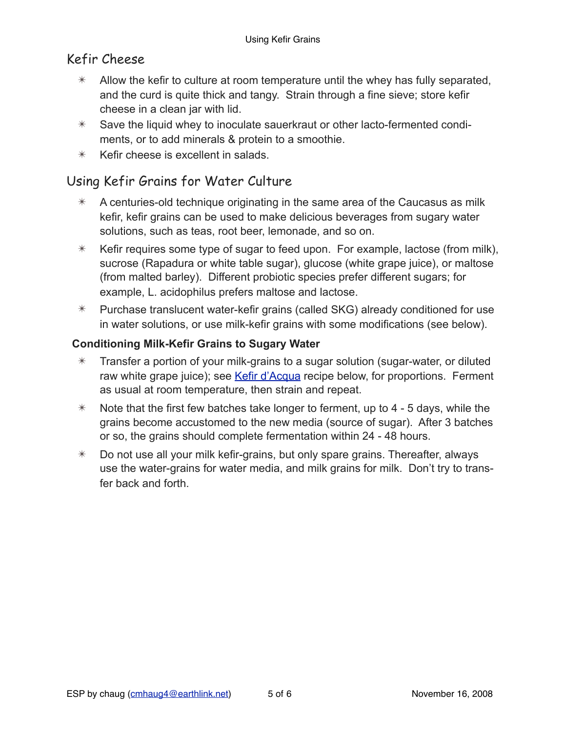### <span id="page-4-0"></span>Kefir Cheese

- $*$  Allow the kefir to culture at room temperature until the whey has fully separated, and the curd is quite thick and tangy. Strain through a fine sieve; store kefir cheese in a clean jar with lid.
- $*$  Save the liquid whey to inoculate sauerkraut or other lacto-fermented condiments, or to add minerals & protein to a smoothie.
- $*$  Kefir cheese is excellent in salads.

### Using Kefir Grains for Water Culture

- $*$  A centuries-old technique originating in the same area of the Caucasus as milk kefir, kefir grains can be used to make delicious beverages from sugary water solutions, such as teas, root beer, lemonade, and so on.
- $*$  Kefir requires some type of sugar to feed upon. For example, lactose (from milk), sucrose (Rapadura or white table sugar), glucose (white grape juice), or maltose (from malted barley). Different probiotic species prefer different sugars; for example, L. acidophilus prefers maltose and lactose.
- $*$  Purchase translucent water-kefir grains (called SKG) already conditioned for use in water solutions, or use milk-kefir grains with some modifications (see below).

#### **Conditioning Milk-Kefir Grains to Sugary Water**

- $*$  Transfer a portion of your milk-grains to a sugar solution (sugar-water, or diluted raw white grape juice); see [Kefir d'Acqua](#page-5-2) recipe below, for proportions. Ferment as usual at room temperature, then strain and repeat.
- $*$  Note that the first few batches take longer to ferment, up to 4 5 days, while the grains become accustomed to the new media (source of sugar). After 3 batches or so, the grains should complete fermentation within 24 - 48 hours.
- $*$  Do not use all your milk kefir-grains, but only spare grains. Thereafter, always use the water-grains for water media, and milk grains for milk. Don't try to transfer back and forth.